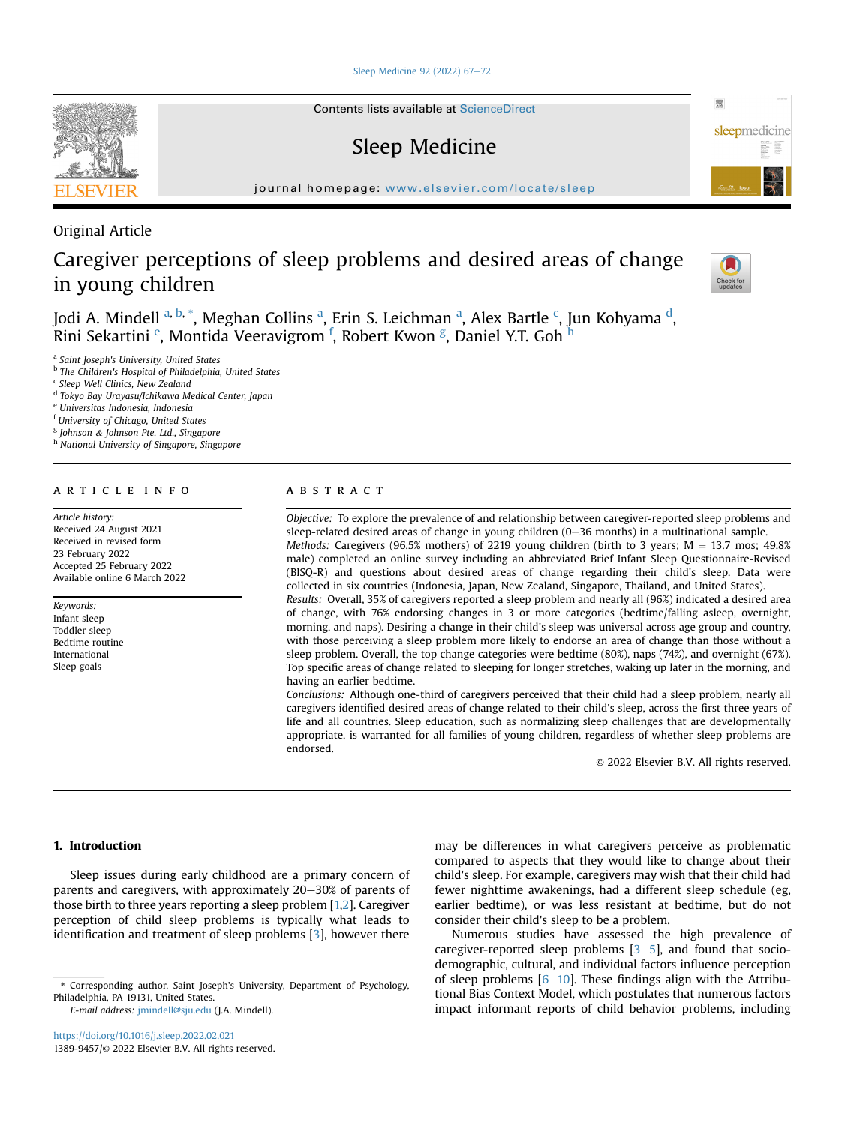## [Sleep Medicine 92 \(2022\) 67](https://doi.org/10.1016/j.sleep.2022.02.021)-[72](https://doi.org/10.1016/j.sleep.2022.02.021)

Contents lists available at ScienceDirect

# Sleep Medicine

journal homepage: <www.elsevier.com/locate/sleep>

Original Article

# Caregiver perceptions of sleep problems and desired areas of change in young children



骤

sleepmedicine

Jodi A. Mindell <sup>[a,](#page-0-0) [b](#page-0-1), [\\*](#page-0-2)</sup>, Megh[a](#page-0-0)n Collins <sup>a</sup>, Erin S. Lei[c](#page-0-3)hman <sup>a</sup>, Alex Bartle <sup>c</sup>, Jun Kohyama <sup>[d](#page-0-4)</sup>, Rini S[e](#page-0-5)kartini <sup>e</sup>, Montida Veeravigrom <sup>[f](#page-0-6)</sup>, Robert Kwon <sup>[g](#page-0-7)</sup>, Daniel Y.T. Go[h](#page-0-8) <sup>h</sup>

<span id="page-0-0"></span>Saint Joseph's University, United States

<span id="page-0-1"></span>**b** The Children's Hospital of Philadelphia, United States

<span id="page-0-3"></span><sup>c</sup> Sleep Well Clinics, New Zealand

<span id="page-0-4"></span><sup>d</sup> Tokyo Bay Urayasu/Ichikawa Medical Center, Japan

<span id="page-0-5"></span><sup>e</sup> Universitas Indonesia, Indonesia

<span id="page-0-6"></span><sup>f</sup> University of Chicago, United States

<span id="page-0-7"></span><sup>g</sup> Johnson & Johnson Pte. Ltd., Singapore

<span id="page-0-8"></span>h National University of Singapore, Singapore

## article info

Article history: Received 24 August 2021 Received in revised form 23 February 2022 Accepted 25 February 2022 Available online 6 March 2022

Keywords: Infant sleep Toddler sleep Bedtime routine International Sleep goals

# **ABSTRACT**

Objective: To explore the prevalence of and relationship between caregiver-reported sleep problems and sleep-related desired areas of change in young children (0-36 months) in a multinational sample. Methods: Caregivers (96.5% mothers) of 2219 young children (birth to 3 years;  $M = 13.7$  mos; 49.8% male) completed an online survey including an abbreviated Brief Infant Sleep Questionnaire-Revised (BISQ-R) and questions about desired areas of change regarding their child's sleep. Data were collected in six countries (Indonesia, Japan, New Zealand, Singapore, Thailand, and United States).

Results: Overall, 35% of caregivers reported a sleep problem and nearly all (96%) indicated a desired area of change, with 76% endorsing changes in 3 or more categories (bedtime/falling asleep, overnight, morning, and naps). Desiring a change in their child's sleep was universal across age group and country, with those perceiving a sleep problem more likely to endorse an area of change than those without a sleep problem. Overall, the top change categories were bedtime (80%), naps (74%), and overnight (67%). Top specific areas of change related to sleeping for longer stretches, waking up later in the morning, and having an earlier bedtime.

Conclusions: Although one-third of caregivers perceived that their child had a sleep problem, nearly all caregivers identified desired areas of change related to their child's sleep, across the first three years of life and all countries. Sleep education, such as normalizing sleep challenges that are developmentally appropriate, is warranted for all families of young children, regardless of whether sleep problems are endorsed.

© 2022 Elsevier B.V. All rights reserved.

# 1. Introduction

Sleep issues during early childhood are a primary concern of parents and caregivers, with approximately 20-30% of parents of those birth to three years reporting a sleep problem [[1,](#page-5-0)[2](#page-5-1)]. Caregiver perception of child sleep problems is typically what leads to identification and treatment of sleep problems [[3\]](#page-5-2), however there

E-mail address: [jmindell@sju.edu](mailto:jmindell@sju.edu) (J.A. Mindell).

may be differences in what caregivers perceive as problematic compared to aspects that they would like to change about their child's sleep. For example, caregivers may wish that their child had fewer nighttime awakenings, had a different sleep schedule (eg, earlier bedtime), or was less resistant at bedtime, but do not consider their child's sleep to be a problem.

Numerous studies have assessed the high prevalence of caregiver-reported sleep problems  $[3-5]$  $[3-5]$  $[3-5]$  $[3-5]$ , and found that sociodemographic, cultural, and individual factors influence perception of sleep problems  $[6-10]$  $[6-10]$  $[6-10]$ . These findings align with the Attributional Bias Context Model, which postulates that numerous factors impact informant reports of child behavior problems, including



<span id="page-0-2"></span><sup>\*</sup> Corresponding author. Saint Joseph's University, Department of Psychology, Philadelphia, PA 19131, United States.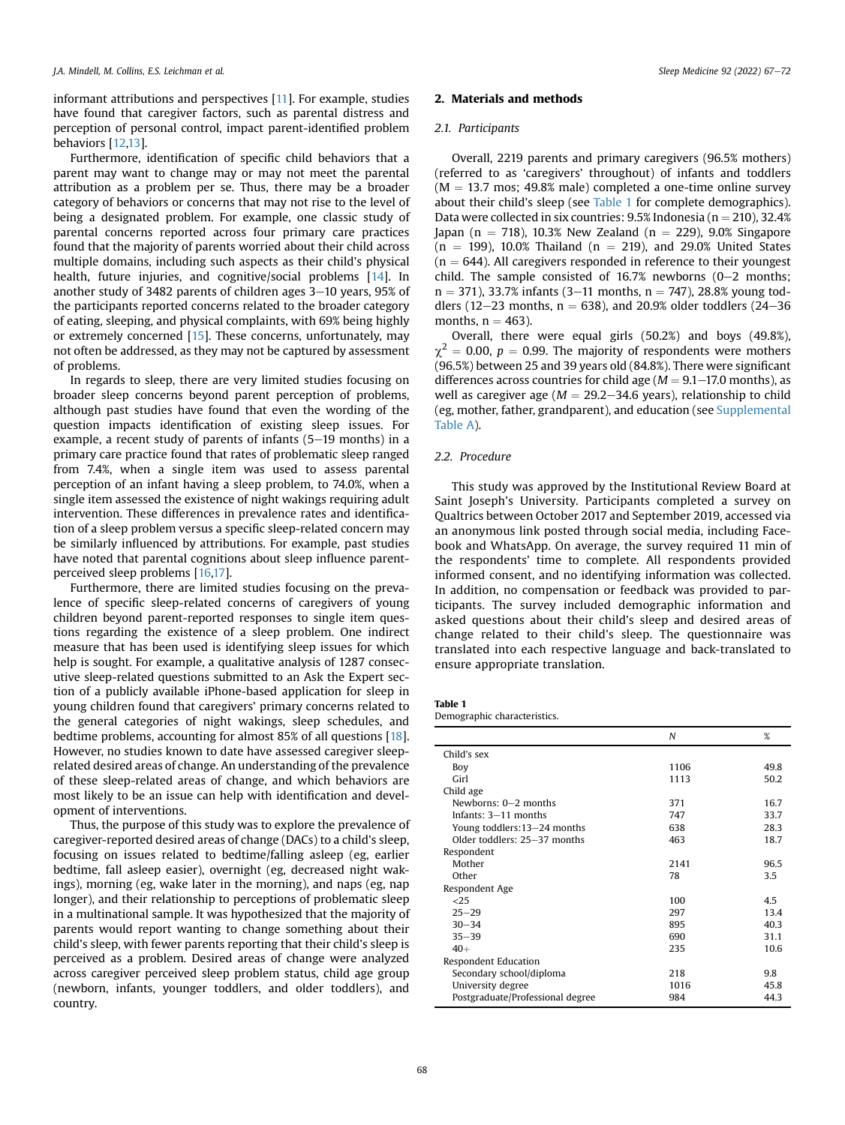informant attributions and perspectives [[11](#page-5-4)]. For example, studies have found that caregiver factors, such as parental distress and perception of personal control, impact parent-identified problem behaviors [[12,](#page-5-5)[13](#page-5-6)].

Furthermore, identification of specific child behaviors that a parent may want to change may or may not meet the parental attribution as a problem per se. Thus, there may be a broader category of behaviors or concerns that may not rise to the level of being a designated problem. For example, one classic study of parental concerns reported across four primary care practices found that the majority of parents worried about their child across multiple domains, including such aspects as their child's physical health, future injuries, and cognitive/social problems [[14\]](#page-5-7). In another study of 3482 parents of children ages  $3-10$  years, 95% of the participants reported concerns related to the broader category of eating, sleeping, and physical complaints, with 69% being highly or extremely concerned [\[15](#page-5-8)]. These concerns, unfortunately, may not often be addressed, as they may not be captured by assessment of problems.

In regards to sleep, there are very limited studies focusing on broader sleep concerns beyond parent perception of problems, although past studies have found that even the wording of the question impacts identification of existing sleep issues. For example, a recent study of parents of infants  $(5-19$  months) in a primary care practice found that rates of problematic sleep ranged from 7.4%, when a single item was used to assess parental perception of an infant having a sleep problem, to 74.0%, when a single item assessed the existence of night wakings requiring adult intervention. These differences in prevalence rates and identification of a sleep problem versus a specific sleep-related concern may be similarly influenced by attributions. For example, past studies have noted that parental cognitions about sleep influence parentperceived sleep problems [[16,](#page-5-9)[17\]](#page-5-10).

Furthermore, there are limited studies focusing on the prevalence of specific sleep-related concerns of caregivers of young children beyond parent-reported responses to single item questions regarding the existence of a sleep problem. One indirect measure that has been used is identifying sleep issues for which help is sought. For example, a qualitative analysis of 1287 consecutive sleep-related questions submitted to an Ask the Expert section of a publicly available iPhone-based application for sleep in young children found that caregivers' primary concerns related to the general categories of night wakings, sleep schedules, and bedtime problems, accounting for almost 85% of all questions [[18\]](#page-5-11). However, no studies known to date have assessed caregiver sleeprelated desired areas of change. An understanding of the prevalence of these sleep-related areas of change, and which behaviors are most likely to be an issue can help with identification and development of interventions.

Thus, the purpose of this study was to explore the prevalence of caregiver-reported desired areas of change (DACs) to a child's sleep, focusing on issues related to bedtime/falling asleep (eg, earlier bedtime, fall asleep easier), overnight (eg, decreased night wakings), morning (eg, wake later in the morning), and naps (eg, nap longer), and their relationship to perceptions of problematic sleep in a multinational sample. It was hypothesized that the majority of parents would report wanting to change something about their child's sleep, with fewer parents reporting that their child's sleep is perceived as a problem. Desired areas of change were analyzed across caregiver perceived sleep problem status, child age group (newborn, infants, younger toddlers, and older toddlers), and country.

## 2. Materials and methods

## 2.1. Participants

Overall, 2219 parents and primary caregivers (96.5% mothers) (referred to as 'caregivers' throughout) of infants and toddlers  $(M = 13.7 \text{ mos}; 49.8\% \text{ male})$  completed a one-time online survey about their child's sleep (see [Table 1](#page-1-0) for complete demographics). Data were collected in six countries:  $9.5\%$  Indonesia (n = 210), 32.4% Japan (n = 718), 10.3% New Zealand (n = 229), 9.0% Singapore  $(n = 199)$ , 10.0% Thailand  $(n = 219)$ , and 29.0% United States  $(n = 644)$ . All caregivers responded in reference to their youngest child. The sample consisted of  $16.7%$  newborns (0-2 months;  $n = 371$ ), 33.7% infants (3–11 months,  $n = 747$ ), 28.8% young toddlers (12–23 months,  $n = 638$ ), and 20.9% older toddlers (24–36) months,  $n = 463$ ).

Overall, there were equal girls (50.2%) and boys (49.8%),  $\gamma^2$  = 0.00, p = 0.99. The majority of respondents were mothers (96.5%) between 25 and 39 years old (84.8%). There were significant differences across countries for child age  $(M = 9.1 - 17.0$  months), as well as caregiver age ( $M = 29.2 - 34.6$  years), relationship to child (eg, mother, father, grandparent), and education (see Supplemental Table A).

## 2.2. Procedure

This study was approved by the Institutional Review Board at Saint Joseph's University. Participants completed a survey on Qualtrics between October 2017 and September 2019, accessed via an anonymous link posted through social media, including Facebook and WhatsApp. On average, the survey required 11 min of the respondents' time to complete. All respondents provided informed consent, and no identifying information was collected. In addition, no compensation or feedback was provided to participants. The survey included demographic information and asked questions about their child's sleep and desired areas of change related to their child's sleep. The questionnaire was translated into each respective language and back-translated to ensure appropriate translation.

<span id="page-1-0"></span>

| Table 1                  |  |
|--------------------------|--|
| Demographic characterist |  |

| Demographic characteristics. |
|------------------------------|
|                              |

|                                  | N    | %    |
|----------------------------------|------|------|
| Child's sex                      |      |      |
| Boy                              | 1106 | 49.8 |
| Girl                             | 1113 | 50.2 |
| Child age                        |      |      |
| Newborns: $0-2$ months           | 371  | 167  |
| Infants: 3-11 months             | 747  | 33.7 |
| Young toddlers: 13-24 months     | 638  | 28.3 |
| Older toddlers: 25-37 months     | 463  | 18.7 |
| Respondent                       |      |      |
| Mother                           | 2141 | 96.5 |
| Other                            | 78   | 3.5  |
| Respondent Age                   |      |      |
| <25                              | 100  | 4.5  |
| $25 - 29$                        | 297  | 13.4 |
| $30 - 34$                        | 895  | 40.3 |
| $35 - 39$                        | 690  | 31.1 |
| $40+$                            | 235  | 10.6 |
| Respondent Education             |      |      |
| Secondary school/diploma         | 218  | 9.8  |
| University degree                | 1016 | 45.8 |
| Postgraduate/Professional degree | 984  | 44.3 |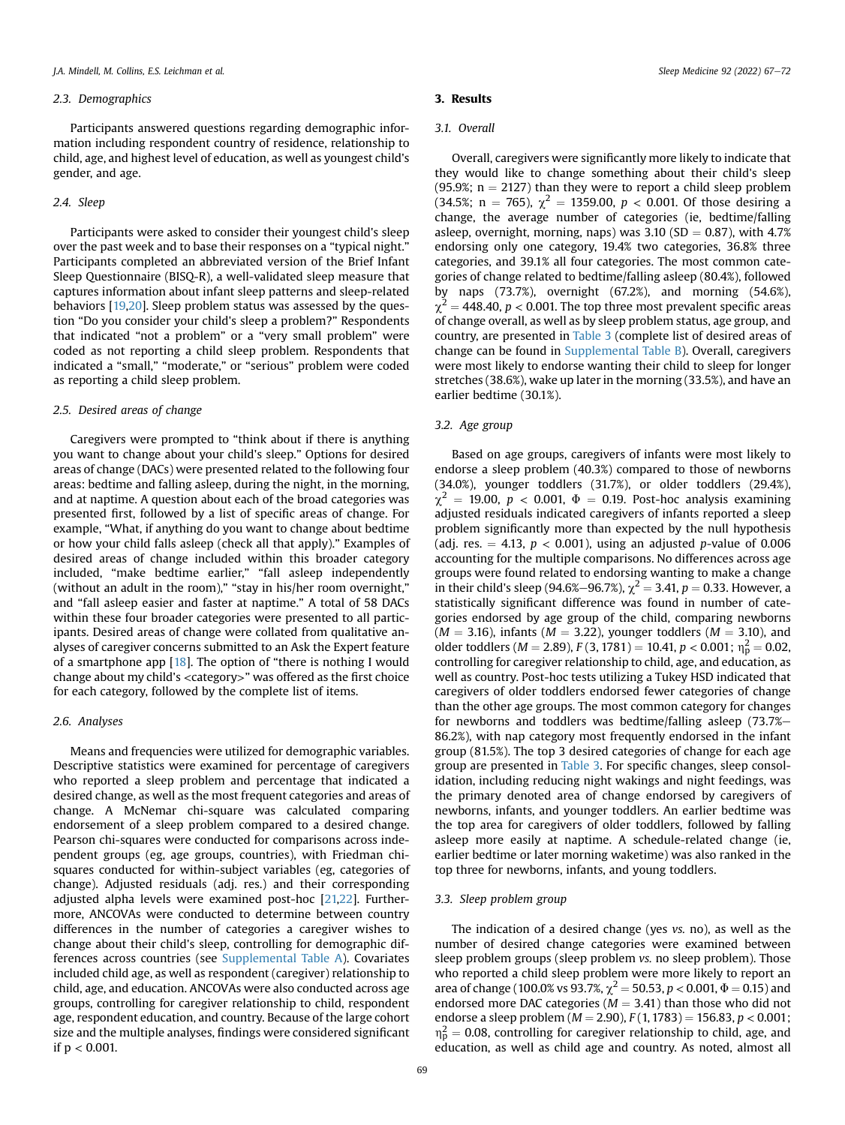## 2.3. Demographics

Participants answered questions regarding demographic information including respondent country of residence, relationship to child, age, and highest level of education, as well as youngest child's gender, and age.

## 2.4. Sleep

Participants were asked to consider their youngest child's sleep over the past week and to base their responses on a "typical night." Participants completed an abbreviated version of the Brief Infant Sleep Questionnaire (BISQ-R), a well-validated sleep measure that captures information about infant sleep patterns and sleep-related behaviors [[19,](#page-5-12)[20](#page-5-13)]. Sleep problem status was assessed by the question "Do you consider your child's sleep a problem?" Respondents that indicated "not a problem" or a "very small problem" were coded as not reporting a child sleep problem. Respondents that indicated a "small," "moderate," or "serious" problem were coded as reporting a child sleep problem.

## 2.5. Desired areas of change

Caregivers were prompted to "think about if there is anything you want to change about your child's sleep." Options for desired areas of change (DACs) were presented related to the following four areas: bedtime and falling asleep, during the night, in the morning, and at naptime. A question about each of the broad categories was presented first, followed by a list of specific areas of change. For example, "What, if anything do you want to change about bedtime or how your child falls asleep (check all that apply)." Examples of desired areas of change included within this broader category included, "make bedtime earlier," "fall asleep independently (without an adult in the room)," "stay in his/her room overnight," and "fall asleep easier and faster at naptime." A total of 58 DACs within these four broader categories were presented to all participants. Desired areas of change were collated from qualitative analyses of caregiver concerns submitted to an Ask the Expert feature of a smartphone app [[18](#page-5-11)]. The option of "there is nothing I would change about my child's <category>" was offered as the first choice for each category, followed by the complete list of items.

#### 2.6. Analyses

Means and frequencies were utilized for demographic variables. Descriptive statistics were examined for percentage of caregivers who reported a sleep problem and percentage that indicated a desired change, as well as the most frequent categories and areas of change. A McNemar chi-square was calculated comparing endorsement of a sleep problem compared to a desired change. Pearson chi-squares were conducted for comparisons across independent groups (eg, age groups, countries), with Friedman chisquares conducted for within-subject variables (eg, categories of change). Adjusted residuals (adj. res.) and their corresponding adjusted alpha levels were examined post-hoc [[21,](#page-5-14)[22\]](#page-5-15). Furthermore, ANCOVAs were conducted to determine between country differences in the number of categories a caregiver wishes to change about their child's sleep, controlling for demographic differences across countries (see Supplemental Table A). Covariates included child age, as well as respondent (caregiver) relationship to child, age, and education. ANCOVAs were also conducted across age groups, controlling for caregiver relationship to child, respondent age, respondent education, and country. Because of the large cohort size and the multiple analyses, findings were considered significant if p < 0.001.

## 3. Results

## 3.1. Overall

Overall, caregivers were significantly more likely to indicate that they would like to change something about their child's sleep (95.9%;  $n = 2127$ ) than they were to report a child sleep problem (34.5%; n = 765),  $\chi^2$  = 1359.00, p < 0.001. Of those desiring a change, the average number of categories (ie, bedtime/falling asleep, overnight, morning, naps) was  $3.10$  (SD = 0.87), with  $4.7\%$ endorsing only one category, 19.4% two categories, 36.8% three categories, and 39.1% all four categories. The most common categories of change related to bedtime/falling asleep (80.4%), followed by naps (73.7%), overnight (67.2%), and morning (54.6%),  $\chi^2$  = 448.40, p < 0.001. The top three most prevalent specific areas of change overall, as well as by sleep problem status, age group, and country, are presented in [Table 3](#page-3-0) (complete list of desired areas of change can be found in Supplemental Table B). Overall, caregivers were most likely to endorse wanting their child to sleep for longer stretches (38.6%), wake up later in the morning (33.5%), and have an earlier bedtime (30.1%).

## 3.2. Age group

Based on age groups, caregivers of infants were most likely to endorse a sleep problem (40.3%) compared to those of newborns (34.0%), younger toddlers (31.7%), or older toddlers (29.4%),  $\chi^2$  = 19.00, p < 0.001,  $\Phi$  = 0.19. Post-hoc analysis examining adjusted residuals indicated caregivers of infants reported a sleep problem significantly more than expected by the null hypothesis (adj. res.  $= 4.13$ ,  $p < 0.001$ ), using an adjusted p-value of 0.006 accounting for the multiple comparisons. No differences across age groups were found related to endorsing wanting to make a change in their child's sleep (94.6%–96.7%),  $\chi^2 = 3.41$ ,  $p = 0.33$ . However, a statistically significant difference was found in number of categories endorsed by age group of the child, comparing newborns  $(M = 3.16)$ , infants  $(M = 3.22)$ , younger toddlers  $(M = 3.10)$ , and older toddlers ( $M = 2.89$ ),  $F(3, 1781) = 10.41$ ,  $p < 0.001$ ;  $\eta_p^2 = 0.02$ , controlling for caregiver relationship to child, age, and education, as well as country. Post-hoc tests utilizing a Tukey HSD indicated that caregivers of older toddlers endorsed fewer categories of change than the other age groups. The most common category for changes for newborns and toddlers was bedtime/falling asleep  $(73.7% -$ 86.2%), with nap category most frequently endorsed in the infant group (81.5%). The top 3 desired categories of change for each age group are presented in [Table 3](#page-3-0). For specific changes, sleep consolidation, including reducing night wakings and night feedings, was the primary denoted area of change endorsed by caregivers of newborns, infants, and younger toddlers. An earlier bedtime was the top area for caregivers of older toddlers, followed by falling asleep more easily at naptime. A schedule-related change (ie, earlier bedtime or later morning waketime) was also ranked in the top three for newborns, infants, and young toddlers.

## 3.3. Sleep problem group

The indication of a desired change (yes vs. no), as well as the number of desired change categories were examined between sleep problem groups (sleep problem vs. no sleep problem). Those who reported a child sleep problem were more likely to report an area of change (100.0% vs 93.7%,  $\chi^2 = 50.53$ ,  $p < 0.001$ ,  $\Phi = 0.15$ ) and endorsed more DAC categories ( $M = 3.41$ ) than those who did not endorse a sleep problem ( $M = 2.90$ ),  $F(1, 1783) = 156.83$ ,  $p < 0.001$ ;  $n_{\rm p}^2$  = 0.08, controlling for caregiver relationship to child, age, and education, as well as child age and country. As noted, almost all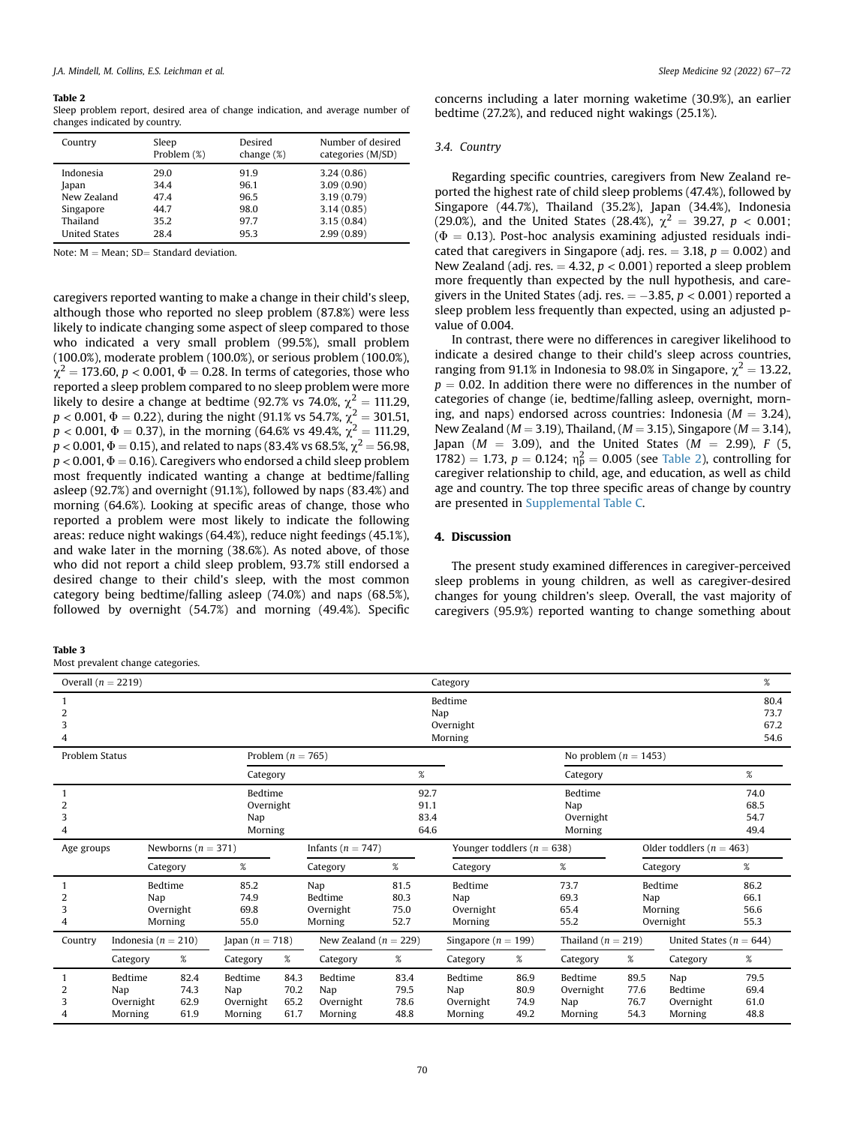#### <span id="page-3-1"></span>Table 2

Sleep problem report, desired area of change indication, and average number of changes indicated by country.

| Country              | Sleep<br>Problem (%) | Desired<br>change $(\%)$ | Number of desired<br>categories (M/SD) |
|----------------------|----------------------|--------------------------|----------------------------------------|
| Indonesia            | 29.0                 | 91.9                     | 3.24(0.86)                             |
| Japan                | 34.4                 | 96.1                     | 3.09(0.90)                             |
| New Zealand          | 47.4                 | 96.5                     | 3.19(0.79)                             |
| Singapore            | 44.7                 | 98.0                     | 3.14(0.85)                             |
| Thailand             | 35.2                 | 97.7                     | 3.15(0.84)                             |
| <b>United States</b> | 28.4                 | 95.3                     | 2.99(0.89)                             |

Note:  $M = Mean$ ; SD $=$  Standard deviation.

caregivers reported wanting to make a change in their child's sleep, although those who reported no sleep problem (87.8%) were less likely to indicate changing some aspect of sleep compared to those who indicated a very small problem (99.5%), small problem (100.0%), moderate problem (100.0%), or serious problem (100.0%),  $\chi^2$  = 173.60, p < 0.001,  $\Phi$  = 0.28. In terms of categories, those who reported a sleep problem compared to no sleep problem were more likely to desire a change at bedtime (92.7% vs 74.0%,  $\chi^2 = 111.29$ ,  $p < 0.001$ ,  $\Phi = 0.22$ ), during the night (91.1% vs 54.7%,  $\chi^2 = 301.51$ ,  $p < 0.001$ ,  $\Phi = 0.37$ ), in the morning (64.6% vs 49.4%,  $\chi^2 = 111.29$ ,  $p < 0.001, \Phi = 0.15$ ), and related to naps (83.4% vs 68.5%,  $\chi^2 = 56.98$ ,  $p < 0.001$ ,  $\Phi = 0.16$ ). Caregivers who endorsed a child sleep problem most frequently indicated wanting a change at bedtime/falling asleep (92.7%) and overnight (91.1%), followed by naps (83.4%) and morning (64.6%). Looking at specific areas of change, those who reported a problem were most likely to indicate the following areas: reduce night wakings (64.4%), reduce night feedings (45.1%), and wake later in the morning (38.6%). As noted above, of those who did not report a child sleep problem, 93.7% still endorsed a desired change to their child's sleep, with the most common category being bedtime/falling asleep (74.0%) and naps (68.5%), followed by overnight (54.7%) and morning (49.4%). Specific

#### <span id="page-3-0"></span>Table 3

Most prevalent change categories.

concerns including a later morning waketime (30.9%), an earlier bedtime (27.2%), and reduced night wakings (25.1%).

#### 3.4. Country

Regarding specific countries, caregivers from New Zealand reported the highest rate of child sleep problems (47.4%), followed by Singapore (44.7%), Thailand (35.2%), Japan (34.4%), Indonesia (29.0%), and the United States (28.4%),  $\chi^2 = 39.27$ ,  $p < 0.001$ ; ( $\Phi = 0.13$ ). Post-hoc analysis examining adjusted residuals indicated that caregivers in Singapore (adj. res.  $=$  3.18,  $p = 0.002$ ) and New Zealand (adj. res.  $= 4.32$ ,  $p < 0.001$ ) reported a sleep problem more frequently than expected by the null hypothesis, and caregivers in the United States (adj. res.  $=$   $-3.85, p < 0.001$ ) reported a sleep problem less frequently than expected, using an adjusted pvalue of 0.004.

In contrast, there were no differences in caregiver likelihood to indicate a desired change to their child's sleep across countries, ranging from 91.1% in Indonesia to 98.0% in Singapore,  $\chi^2 = 13.22$ ,  $p = 0.02$ . In addition there were no differences in the number of categories of change (ie, bedtime/falling asleep, overnight, morning, and naps) endorsed across countries: Indonesia ( $M = 3.24$ ), New Zealand ( $M = 3.19$ ), Thailand, ( $M = 3.15$ ), Singapore ( $M = 3.14$ ), Japan ( $M = 3.09$ ), and the United States ( $M = 2.99$ ), F (5, 1782) = 1.73,  $p = 0.124$ ;  $\eta_p^2 = 0.005$  (see [Table 2\)](#page-3-1), controlling for caregiver relationship to child, age, and education, as well as child age and country. The top three specific areas of change by country are presented in Supplemental Table C.

## 4. Discussion

The present study examined differences in caregiver-perceived sleep problems in young children, as well as caregiver-desired changes for young children's sleep. Overall, the vast majority of caregivers (95.9%) reported wanting to change something about

| Overall $(n = 2219)$<br>Category            |                                        |                                        |                                        |                              |                                        |                              |                                        |                                                                | %                                      |                              |                                        |                              |
|---------------------------------------------|----------------------------------------|----------------------------------------|----------------------------------------|------------------------------|----------------------------------------|------------------------------|----------------------------------------|----------------------------------------------------------------|----------------------------------------|------------------------------|----------------------------------------|------------------------------|
| 2<br>3<br>4                                 | Bedtime<br>Nap<br>Overnight<br>Morning |                                        |                                        |                              |                                        |                              |                                        |                                                                | 80.4<br>73.7<br>67.2<br>54.6           |                              |                                        |                              |
| Problem Status<br>Problem ( $n = 765$ )     |                                        |                                        |                                        |                              |                                        |                              |                                        | No problem ( $n = 1453$ )                                      |                                        |                              |                                        |                              |
| Category                                    |                                        |                                        |                                        | $\%$                         |                                        |                              |                                        | Category                                                       |                                        |                              | $\%$                                   |                              |
| Bedtime<br>Overnight<br>3<br>Nap<br>Morning |                                        |                                        |                                        |                              | 92.7<br>91.1<br>83.4<br>64.6           |                              |                                        | Bedtime<br>Nap<br>Overnight<br>Morning                         |                                        |                              | 74.0<br>68.5<br>54.7<br>49.4           |                              |
| Newborns ( $n = 371$ )<br>Age groups        |                                        |                                        |                                        | Infants ( $n = 747$ )        |                                        |                              |                                        | Younger toddlers ( $n = 638$ )<br>Older toddlers ( $n = 463$ ) |                                        |                              |                                        |                              |
|                                             | Category                               |                                        | %                                      |                              | Category                               | $\%$                         | Category                               |                                                                | %                                      |                              | Category                               | $\%$                         |
| 2<br>3                                      |                                        | Bedtime<br>Nap<br>Overnight<br>Morning | 85.2<br>74.9<br>69.8<br>55.0           |                              | Nap<br>Bedtime<br>Overnight<br>Morning | 81.5<br>80.3<br>75.0<br>52.7 | Bedtime<br>Nap<br>Overnight<br>Morning |                                                                |                                        | Nap                          | Bedtime<br>Morning<br>Overnight        | 86.2<br>66.1<br>56.6<br>55.3 |
| Country                                     |                                        | Indonesia ( $n = 210$ )                |                                        | Japan $(n = 718)$            | New Zealand ( $n = 229$ )              |                              | Singapore ( $n = 199$ )                |                                                                | Thailand ( $n = 219$ )                 |                              | United States ( $n = 644$ )            |                              |
|                                             | Category                               | %                                      | Category                               | %                            | Category                               | %                            | Category                               | %                                                              | Category                               | %                            | Category                               | $\%$                         |
| 2<br>3                                      | Bedtime<br>Nap<br>Overnight<br>Morning | 82.4<br>74.3<br>62.9<br>61.9           | Bedtime<br>Nap<br>Overnight<br>Morning | 84.3<br>70.2<br>65.2<br>61.7 | Bedtime<br>Nap<br>Overnight<br>Morning | 83.4<br>79.5<br>78.6<br>48.8 | Bedtime<br>Nap<br>Overnight<br>Morning | 86.9<br>80.9<br>74.9<br>49.2                                   | Bedtime<br>Overnight<br>Nap<br>Morning | 89.5<br>77.6<br>76.7<br>54.3 | Nap<br>Bedtime<br>Overnight<br>Morning | 79.5<br>69.4<br>61.0<br>48.8 |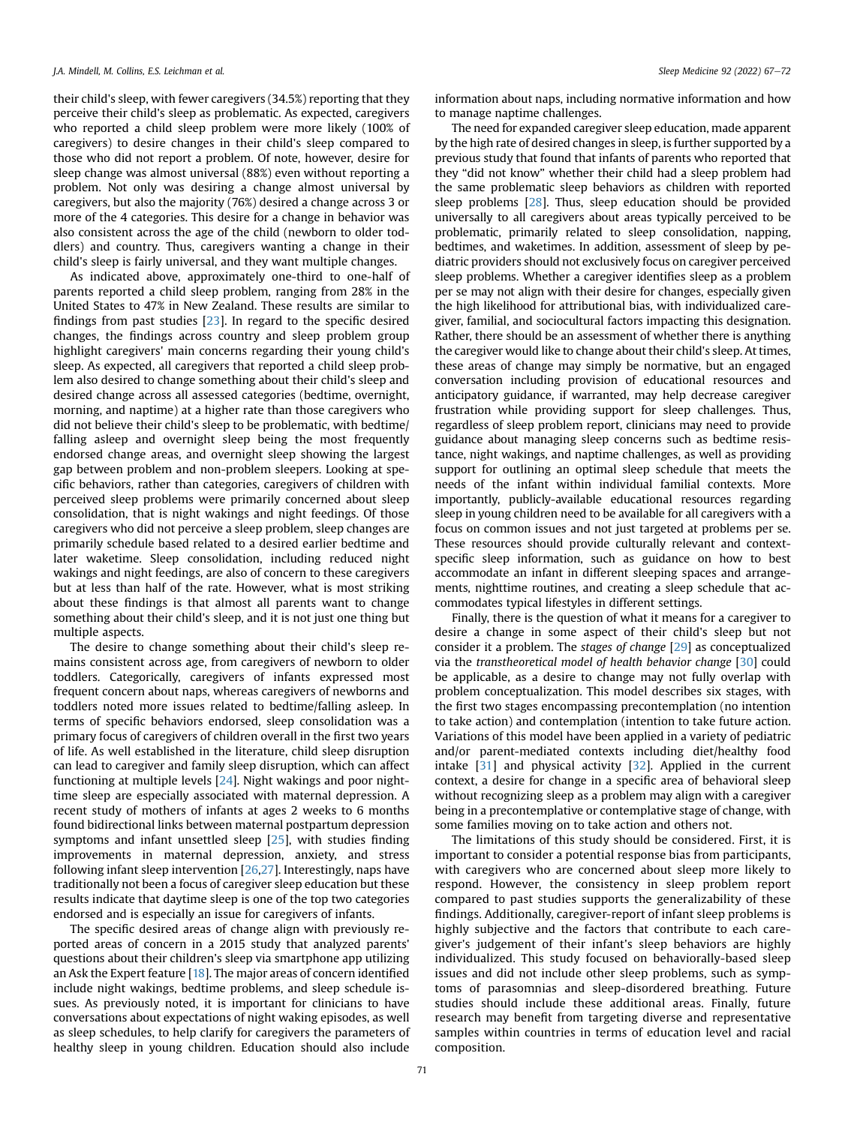their child's sleep, with fewer caregivers (34.5%) reporting that they perceive their child's sleep as problematic. As expected, caregivers who reported a child sleep problem were more likely (100% of caregivers) to desire changes in their child's sleep compared to those who did not report a problem. Of note, however, desire for sleep change was almost universal (88%) even without reporting a problem. Not only was desiring a change almost universal by caregivers, but also the majority (76%) desired a change across 3 or more of the 4 categories. This desire for a change in behavior was also consistent across the age of the child (newborn to older toddlers) and country. Thus, caregivers wanting a change in their child's sleep is fairly universal, and they want multiple changes.

As indicated above, approximately one-third to one-half of parents reported a child sleep problem, ranging from 28% in the United States to 47% in New Zealand. These results are similar to findings from past studies [[23](#page-5-16)]. In regard to the specific desired changes, the findings across country and sleep problem group highlight caregivers' main concerns regarding their young child's sleep. As expected, all caregivers that reported a child sleep problem also desired to change something about their child's sleep and desired change across all assessed categories (bedtime, overnight, morning, and naptime) at a higher rate than those caregivers who did not believe their child's sleep to be problematic, with bedtime/ falling asleep and overnight sleep being the most frequently endorsed change areas, and overnight sleep showing the largest gap between problem and non-problem sleepers. Looking at specific behaviors, rather than categories, caregivers of children with perceived sleep problems were primarily concerned about sleep consolidation, that is night wakings and night feedings. Of those caregivers who did not perceive a sleep problem, sleep changes are primarily schedule based related to a desired earlier bedtime and later waketime. Sleep consolidation, including reduced night wakings and night feedings, are also of concern to these caregivers but at less than half of the rate. However, what is most striking about these findings is that almost all parents want to change something about their child's sleep, and it is not just one thing but multiple aspects.

The desire to change something about their child's sleep remains consistent across age, from caregivers of newborn to older toddlers. Categorically, caregivers of infants expressed most frequent concern about naps, whereas caregivers of newborns and toddlers noted more issues related to bedtime/falling asleep. In terms of specific behaviors endorsed, sleep consolidation was a primary focus of caregivers of children overall in the first two years of life. As well established in the literature, child sleep disruption can lead to caregiver and family sleep disruption, which can affect functioning at multiple levels [[24](#page-5-17)]. Night wakings and poor nighttime sleep are especially associated with maternal depression. A recent study of mothers of infants at ages 2 weeks to 6 months found bidirectional links between maternal postpartum depression symptoms and infant unsettled sleep [\[25\]](#page-5-18), with studies finding improvements in maternal depression, anxiety, and stress following infant sleep intervention [[26](#page-5-19),[27](#page-5-20)]. Interestingly, naps have traditionally not been a focus of caregiver sleep education but these results indicate that daytime sleep is one of the top two categories endorsed and is especially an issue for caregivers of infants.

The specific desired areas of change align with previously reported areas of concern in a 2015 study that analyzed parents' questions about their children's sleep via smartphone app utilizing an Ask the Expert feature  $[18]$  $[18]$ . The major areas of concern identified include night wakings, bedtime problems, and sleep schedule issues. As previously noted, it is important for clinicians to have conversations about expectations of night waking episodes, as well as sleep schedules, to help clarify for caregivers the parameters of healthy sleep in young children. Education should also include

information about naps, including normative information and how to manage naptime challenges.

The need for expanded caregiver sleep education, made apparent by the high rate of desired changes in sleep, is further supported by a previous study that found that infants of parents who reported that they "did not know" whether their child had a sleep problem had the same problematic sleep behaviors as children with reported sleep problems [[28](#page-5-21)]. Thus, sleep education should be provided universally to all caregivers about areas typically perceived to be problematic, primarily related to sleep consolidation, napping, bedtimes, and waketimes. In addition, assessment of sleep by pediatric providers should not exclusively focus on caregiver perceived sleep problems. Whether a caregiver identifies sleep as a problem per se may not align with their desire for changes, especially given the high likelihood for attributional bias, with individualized caregiver, familial, and sociocultural factors impacting this designation. Rather, there should be an assessment of whether there is anything the caregiver would like to change about their child's sleep. At times, these areas of change may simply be normative, but an engaged conversation including provision of educational resources and anticipatory guidance, if warranted, may help decrease caregiver frustration while providing support for sleep challenges. Thus, regardless of sleep problem report, clinicians may need to provide guidance about managing sleep concerns such as bedtime resistance, night wakings, and naptime challenges, as well as providing support for outlining an optimal sleep schedule that meets the needs of the infant within individual familial contexts. More importantly, publicly-available educational resources regarding sleep in young children need to be available for all caregivers with a focus on common issues and not just targeted at problems per se. These resources should provide culturally relevant and contextspecific sleep information, such as guidance on how to best accommodate an infant in different sleeping spaces and arrangements, nighttime routines, and creating a sleep schedule that accommodates typical lifestyles in different settings.

Finally, there is the question of what it means for a caregiver to desire a change in some aspect of their child's sleep but not consider it a problem. The stages of change [\[29\]](#page-5-22) as conceptualized via the transtheoretical model of health behavior change [[30](#page-5-23)] could be applicable, as a desire to change may not fully overlap with problem conceptualization. This model describes six stages, with the first two stages encompassing precontemplation (no intention to take action) and contemplation (intention to take future action. Variations of this model have been applied in a variety of pediatric and/or parent-mediated contexts including diet/healthy food intake [\[31](#page-5-24)] and physical activity [\[32\]](#page-5-25). Applied in the current context, a desire for change in a specific area of behavioral sleep without recognizing sleep as a problem may align with a caregiver being in a precontemplative or contemplative stage of change, with some families moving on to take action and others not.

The limitations of this study should be considered. First, it is important to consider a potential response bias from participants, with caregivers who are concerned about sleep more likely to respond. However, the consistency in sleep problem report compared to past studies supports the generalizability of these findings. Additionally, caregiver-report of infant sleep problems is highly subjective and the factors that contribute to each caregiver's judgement of their infant's sleep behaviors are highly individualized. This study focused on behaviorally-based sleep issues and did not include other sleep problems, such as symptoms of parasomnias and sleep-disordered breathing. Future studies should include these additional areas. Finally, future research may benefit from targeting diverse and representative samples within countries in terms of education level and racial composition.